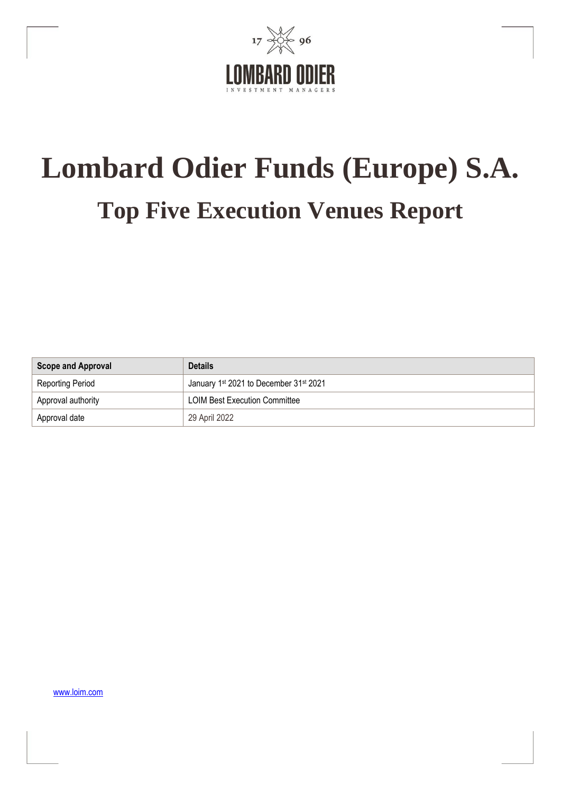

# **Lombard Odier Funds (Europe) S.A. Top Five Execution Venues Report**

| <b>Scope and Approval</b> | <b>Details</b>                                                 |
|---------------------------|----------------------------------------------------------------|
| Reporting Period          | January 1 <sup>st</sup> 2021 to December 31 <sup>st</sup> 2021 |
| Approval authority        | LOIM Best Execution Committee                                  |
| Approval date             | 29 April 2022                                                  |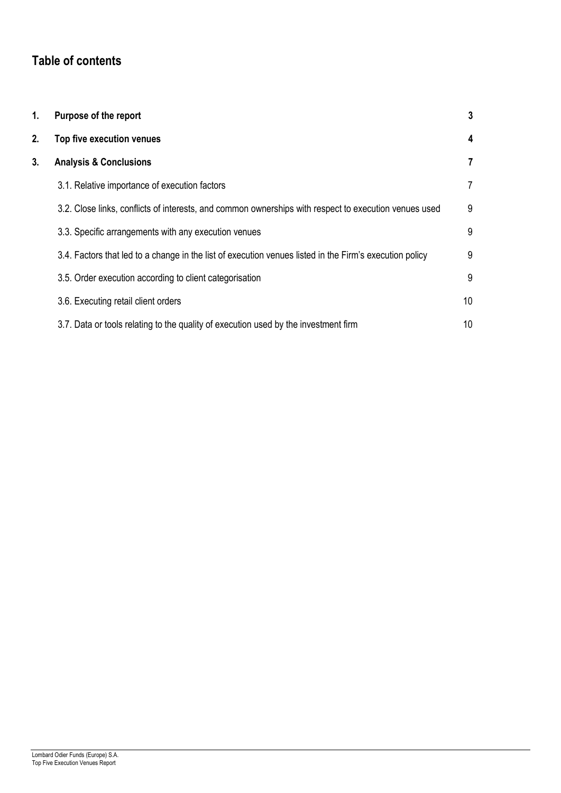# **Table of contents**

| 1. | Purpose of the report                                                                                   | 3               |
|----|---------------------------------------------------------------------------------------------------------|-----------------|
| 2. | Top five execution venues                                                                               | 4               |
| 3. | <b>Analysis &amp; Conclusions</b>                                                                       | 7               |
|    | 3.1. Relative importance of execution factors                                                           | 7               |
|    | 3.2. Close links, conflicts of interests, and common ownerships with respect to execution venues used   | 9               |
|    | 3.3. Specific arrangements with any execution venues                                                    | 9               |
|    | 3.4. Factors that led to a change in the list of execution venues listed in the Firm's execution policy | 9               |
|    | 3.5. Order execution according to client categorisation                                                 | 9               |
|    | 3.6. Executing retail client orders                                                                     | 10 <sup>°</sup> |
|    | 3.7. Data or tools relating to the quality of execution used by the investment firm                     | 10              |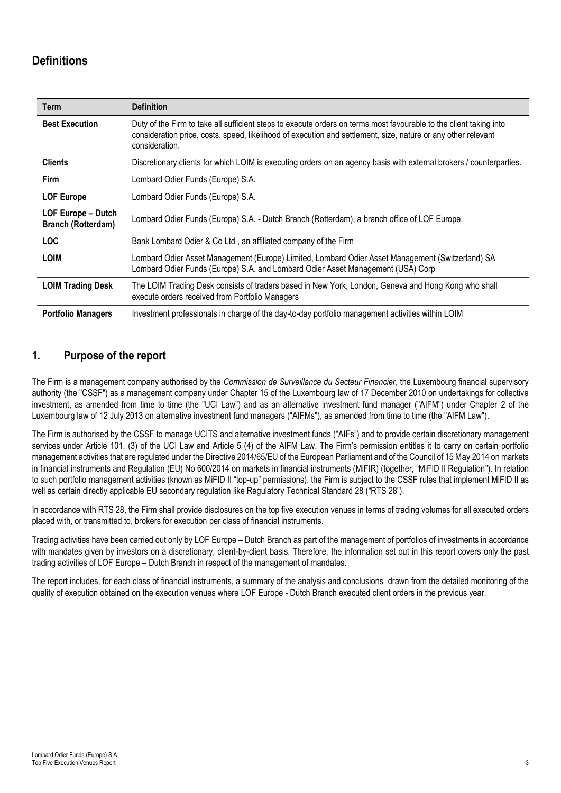# **Definitions**

| <b>Term</b>                                     | <b>Definition</b>                                                                                                                                                                                                                                     |
|-------------------------------------------------|-------------------------------------------------------------------------------------------------------------------------------------------------------------------------------------------------------------------------------------------------------|
| <b>Best Execution</b>                           | Duty of the Firm to take all sufficient steps to execute orders on terms most favourable to the client taking into<br>consideration price, costs, speed, likelihood of execution and settlement, size, nature or any other relevant<br>consideration. |
| <b>Clients</b>                                  | Discretionary clients for which LOIM is executing orders on an agency basis with external brokers / counterparties.                                                                                                                                   |
| <b>Firm</b>                                     | Lombard Odier Funds (Europe) S.A.                                                                                                                                                                                                                     |
| <b>LOF Europe</b>                               | Lombard Odier Funds (Europe) S.A.                                                                                                                                                                                                                     |
| LOF Europe - Dutch<br><b>Branch (Rotterdam)</b> | Lombard Odier Funds (Europe) S.A. - Dutch Branch (Rotterdam), a branch office of LOF Europe.                                                                                                                                                          |
| <b>LOC</b>                                      | Bank Lombard Odier & Co Ltd, an affiliated company of the Firm                                                                                                                                                                                        |
| <b>LOIM</b>                                     | Lombard Odier Asset Management (Europe) Limited, Lombard Odier Asset Management (Switzerland) SA<br>Lombard Odier Funds (Europe) S.A. and Lombard Odier Asset Management (USA) Corp                                                                   |
| <b>LOIM Trading Desk</b>                        | The LOIM Trading Desk consists of traders based in New York, London, Geneva and Hong Kong who shall<br>execute orders received from Portfolio Managers                                                                                                |
| <b>Portfolio Managers</b>                       | Investment professionals in charge of the day-to-day portfolio management activities within LOIM                                                                                                                                                      |

## **1. Purpose of the report**

The Firm is a management company authorised by the *Commission de Surveillance du Secteur Financier*, the Luxembourg financial supervisory authority (the "CSSF") as a management company under Chapter 15 of the Luxembourg law of 17 December 2010 on undertakings for collective investment, as amended from time to time (the "UCI Law") and as an alternative investment fund manager ("AIFM") under Chapter 2 of the Luxembourg law of 12 July 2013 on alternative investment fund managers ("AIFMs"), as amended from time to time (the "AIFM Law").

The Firm is authorised by the CSSF to manage UCITS and alternative investment funds ("AIFs") and to provide certain discretionary management services under Article 101, (3) of the UCI Law and Article 5 (4) of the AIFM Law. The Firm's permission entitles it to carry on certain portfolio management activities that are regulated under the Directive 2014/65/EU of the European Parliament and of the Council of 15 May 2014 on markets in financial instruments and Regulation (EU) No 600/2014 on markets in financial instruments (MiFIR) (together, "MiFID II Regulation"). In relation to such portfolio management activities (known as MiFID II "top-up" permissions), the Firm is subject to the CSSF rules that implement MiFID II as well as certain directly applicable EU secondary regulation like Regulatory Technical Standard 28 ("RTS 28").

In accordance with RTS 28, the Firm shall provide disclosures on the top five execution venues in terms of trading volumes for all executed orders placed with, or transmitted to, brokers for execution per class of financial instruments.

Trading activities have been carried out only by LOF Europe – Dutch Branch as part of the management of portfolios of investments in accordance with mandates given by investors on a discretionary, client-by-client basis. Therefore, the information set out in this report covers only the past trading activities of LOF Europe – Dutch Branch in respect of the management of mandates.

The report includes, for each class of financial instruments, a summary of the analysis and conclusions drawn from the detailed monitoring of the quality of execution obtained on the execution venues where LOF Europe - Dutch Branch executed client orders in the previous year.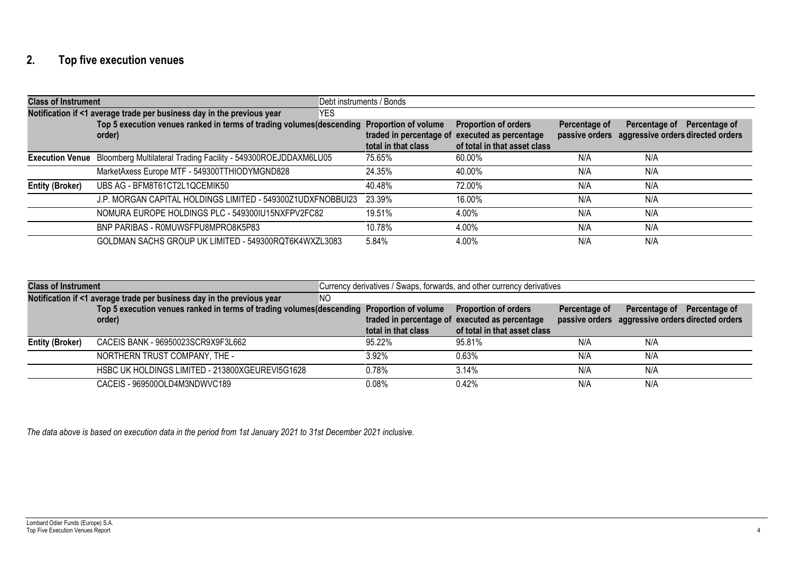# **2. Top five execution venues**

| <b>Class of Instrument</b> |                                                                                                      | Debt instruments / Bonds                       |                                                                                       |               |                                                                                 |
|----------------------------|------------------------------------------------------------------------------------------------------|------------------------------------------------|---------------------------------------------------------------------------------------|---------------|---------------------------------------------------------------------------------|
|                            | Notification if <1 average trade per business day in the previous year<br>YES                        |                                                |                                                                                       |               |                                                                                 |
|                            | Top 5 execution venues ranked in terms of trading volumes (descending Proportion of volume<br>order) | traded in percentage of<br>total in that class | <b>Proportion of orders</b><br>executed as percentage<br>of total in that asset class | Percentage of | Percentage of Percentage of<br>passive orders aggressive orders directed orders |
|                            | Execution Venue Bloomberg Multilateral Trading Facility - 549300ROEJDDAXM6LU05                       | 75.65%                                         | 60.00%                                                                                | N/A           | N/A                                                                             |
|                            | MarketAxess Europe MTF - 549300TTHIODYMGND828                                                        | 24.35%                                         | 40.00%                                                                                | N/A           | N/A                                                                             |
| <b>Entity (Broker)</b>     | UBS AG - BFM8T61CT2L1QCEMIK50                                                                        | 40.48%                                         | 72.00%                                                                                | N/A           | N/A                                                                             |
|                            | J.P. MORGAN CAPITAL HOLDINGS LIMITED - 549300Z1UDXFNOBBUI23                                          | 23.39%                                         | 16.00%                                                                                | N/A           | N/A                                                                             |
|                            | NOMURA EUROPE HOLDINGS PLC - 549300IU15NXFPV2FC82                                                    | 19.51%                                         | 4.00%                                                                                 | N/A           | N/A                                                                             |
|                            | BNP PARIBAS - ROMUWSFPU8MPRO8K5P83                                                                   | 10.78%                                         | 4.00%                                                                                 | N/A           | N/A                                                                             |
|                            | GOLDMAN SACHS GROUP UK LIMITED - 549300RQT6K4WXZL3083                                                | 5.84%                                          | 4.00%                                                                                 | N/A           | N/A                                                                             |

| <b>Class of Instrument</b>                                                    |                                                                                            |                     | Currency derivatives / Swaps, forwards, and other currency derivatives |               |                                                  |
|-------------------------------------------------------------------------------|--------------------------------------------------------------------------------------------|---------------------|------------------------------------------------------------------------|---------------|--------------------------------------------------|
| Notification if <1 average trade per business day in the previous year<br>NO. |                                                                                            |                     |                                                                        |               |                                                  |
|                                                                               | Top 5 execution venues ranked in terms of trading volumes (descending Proportion of volume |                     | <b>Proportion of orders</b>                                            | Percentage of | Percentage of Percentage of                      |
|                                                                               | order)                                                                                     |                     | traded in percentage of executed as percentage                         |               | passive orders aggressive orders directed orders |
|                                                                               |                                                                                            | total in that class | of total in that asset class                                           |               |                                                  |
| <b>Entity (Broker)</b>                                                        | CACEIS BANK - 96950023SCR9X9F3L662                                                         | 95.22%              | 95.81%                                                                 | N/A           | N/A                                              |
|                                                                               | NORTHERN TRUST COMPANY, THE -                                                              | 3.92%               | $0.63\%$                                                               | N/A           | N/A                                              |
|                                                                               | HSBC UK HOLDINGS LIMITED - 213800XGEUREVI5G1628                                            | 0.78%               | 3.14%                                                                  | N/A           | N/A                                              |
|                                                                               | CACEIS - 969500OLD4M3NDWVC189                                                              | 0.08%               | $0.42\%$                                                               | N/A           | N/A                                              |

*The data above is based on execution data in the period from 1st January 2021 to 31st December 2021 inclusive.*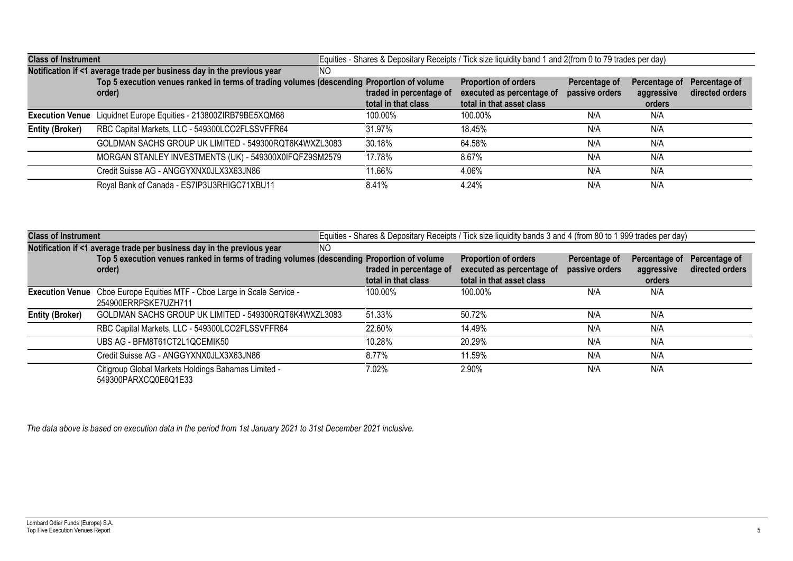| <b>Class of Instrument</b> |                                                                                                                                                                                             |                                                | Equities - Shares & Depositary Receipts / Tick size liquidity band 1 and 2(from 0 to 79 trades per day) |                                 |                                       |                                  |
|----------------------------|---------------------------------------------------------------------------------------------------------------------------------------------------------------------------------------------|------------------------------------------------|---------------------------------------------------------------------------------------------------------|---------------------------------|---------------------------------------|----------------------------------|
|                            | Notification if <1 average trade per business day in the previous year<br><b>NO</b><br>Top 5 execution venues ranked in terms of trading volumes (descending Proportion of volume<br>order) | traded in percentage of<br>total in that class | <b>Proportion of orders</b><br>executed as percentage of<br>total in that asset class                   | Percentage of<br>passive orders | Percentage of<br>aggressive<br>orders | Percentage of<br>directed orders |
| <b>Execution Venue</b>     | Liquidnet Europe Equities - 213800ZIRB79BE5XQM68                                                                                                                                            | 100.00%                                        | 100.00%                                                                                                 | N/A                             | N/A                                   |                                  |
| <b>Entity (Broker)</b>     | RBC Capital Markets, LLC - 549300LCO2FLSSVFFR64                                                                                                                                             | 31.97%                                         | 18.45%                                                                                                  | N/A                             | N/A                                   |                                  |
|                            | GOLDMAN SACHS GROUP UK LIMITED - 549300RQT6K4WXZL3083                                                                                                                                       | 30.18%                                         | 64.58%                                                                                                  | N/A                             | N/A                                   |                                  |
|                            | MORGAN STANLEY INVESTMENTS (UK) - 549300X0IFQFZ9SM2579                                                                                                                                      | 17.78%                                         | 8.67%                                                                                                   | N/A                             | N/A                                   |                                  |
|                            | Credit Suisse AG - ANGGYXNX0JLX3X63JN86                                                                                                                                                     | 11.66%                                         | 4.06%                                                                                                   | N/A                             | N/A                                   |                                  |
|                            | Royal Bank of Canada - ES7IP3U3RHIGC71XBU11                                                                                                                                                 | 8.41%                                          | 4.24%                                                                                                   | N/A                             | N/A                                   |                                  |

| <b>Class of Instrument</b> |                                                                                                      |    |                                                | Equities - Shares & Depositary Receipts / Tick size liquidity bands 3 and 4 (from 80 to 1 999 trades per day) |                                 |                                       |                                  |
|----------------------------|------------------------------------------------------------------------------------------------------|----|------------------------------------------------|---------------------------------------------------------------------------------------------------------------|---------------------------------|---------------------------------------|----------------------------------|
|                            | Notification if <1 average trade per business day in the previous year                               | NΟ |                                                |                                                                                                               |                                 |                                       |                                  |
|                            | Top 5 execution venues ranked in terms of trading volumes (descending Proportion of volume<br>order) |    | traded in percentage of<br>total in that class | <b>Proportion of orders</b><br>executed as percentage of<br>total in that asset class                         | Percentage of<br>passive orders | Percentage of<br>aggressive<br>orders | Percentage of<br>directed orders |
| <b>Execution Venue</b>     | Cboe Europe Equities MTF - Cboe Large in Scale Service -<br>254900ERRPSKE7UZH711                     |    | 100.00%                                        | 100.00%                                                                                                       | N/A                             | N/A                                   |                                  |
| <b>Entity (Broker)</b>     | GOLDMAN SACHS GROUP UK LIMITED - 549300RQT6K4WXZL3083                                                |    | 51.33%                                         | 50.72%                                                                                                        | N/A                             | N/A                                   |                                  |
|                            | RBC Capital Markets, LLC - 549300LCO2FLSSVFFR64                                                      |    | 22.60%                                         | 14.49%                                                                                                        | N/A                             | N/A                                   |                                  |
|                            | UBS AG - BFM8T61CT2L1QCEMIK50                                                                        |    | 10.28%                                         | 20.29%                                                                                                        | N/A                             | N/A                                   |                                  |
|                            | Credit Suisse AG - ANGGYXNX0JLX3X63JN86                                                              |    | 8.77%                                          | 11.59%                                                                                                        | N/A                             | N/A                                   |                                  |
|                            | Citigroup Global Markets Holdings Bahamas Limited -<br>549300PARXCQ0E6Q1E33                          |    | 7.02%                                          | 2.90%                                                                                                         | N/A                             | N/A                                   |                                  |

*The data above is based on execution data in the period from 1st January 2021 to 31st December 2021 inclusive.*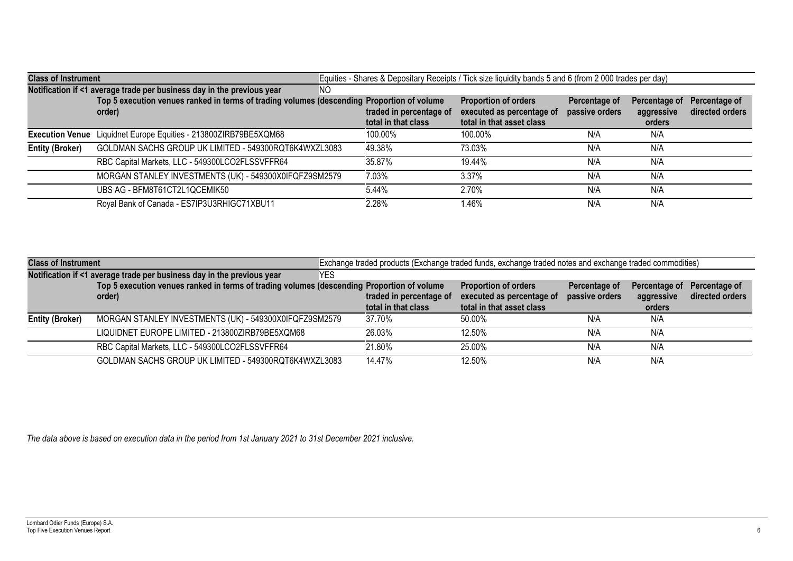| <b>Class of Instrument</b> |                                                                                                                                                                                       |                                                | Equities - Shares & Depositary Receipts / Tick size liquidity bands 5 and 6 (from 2 000 trades per day) |                                 |                                       |                                  |
|----------------------------|---------------------------------------------------------------------------------------------------------------------------------------------------------------------------------------|------------------------------------------------|---------------------------------------------------------------------------------------------------------|---------------------------------|---------------------------------------|----------------------------------|
|                            | Notification if <1 average trade per business day in the previous year<br>NO.<br>Top 5 execution venues ranked in terms of trading volumes (descending Proportion of volume<br>order) | traded in percentage of<br>total in that class | <b>Proportion of orders</b><br>executed as percentage of<br>total in that asset class                   | Percentage of<br>passive orders | Percentage of<br>aggressive<br>orders | Percentage of<br>directed orders |
|                            | Execution Venue Liquidnet Europe Equities - 213800ZIRB79BE5XQM68                                                                                                                      | 100.00%                                        | 100.00%                                                                                                 | N/A                             | N/A                                   |                                  |
| <b>Entity (Broker)</b>     | GOLDMAN SACHS GROUP UK LIMITED - 549300RQT6K4WXZL3083                                                                                                                                 | 49.38%                                         | 73.03%                                                                                                  | N/A                             | N/A                                   |                                  |
|                            | RBC Capital Markets, LLC - 549300LCO2FLSSVFFR64                                                                                                                                       | 35.87%                                         | 19.44%                                                                                                  | N/A                             | N/A                                   |                                  |
|                            | MORGAN STANLEY INVESTMENTS (UK) - 549300X0IFQFZ9SM2579                                                                                                                                | 7.03%                                          | $3.37\%$                                                                                                | N/A                             | N/A                                   |                                  |
|                            | UBS AG - BFM8T61CT2L1QCEMIK50                                                                                                                                                         | 5.44%                                          | 2.70%                                                                                                   | N/A                             | N/A                                   |                                  |
|                            | Royal Bank of Canada - ES7IP3U3RHIGC71XBU11                                                                                                                                           | 2.28%                                          | 1.46%                                                                                                   | N/A                             | N/A                                   |                                  |

| <b>Class of Instrument</b> |                                                                                            | Exchange traded products (Exchange traded funds, exchange traded notes and exchange traded commodities) |                         |                             |                |               |                 |
|----------------------------|--------------------------------------------------------------------------------------------|---------------------------------------------------------------------------------------------------------|-------------------------|-----------------------------|----------------|---------------|-----------------|
|                            | Notification if <1 average trade per business day in the previous year                     | <b>YES</b>                                                                                              |                         |                             |                |               |                 |
|                            | Top 5 execution venues ranked in terms of trading volumes (descending Proportion of volume |                                                                                                         |                         | <b>Proportion of orders</b> | Percentage of  | Percentage of | Percentage of   |
|                            | order)                                                                                     |                                                                                                         | traded in percentage of | executed as percentage of   | passive orders | aggressive    | directed orders |
|                            |                                                                                            |                                                                                                         | total in that class     | total in that asset class   |                | orders        |                 |
| <b>Entity (Broker)</b>     | MORGAN STANLEY INVESTMENTS (UK) - 549300X0IFQFZ9SM2579                                     |                                                                                                         | 37.70%                  | 50.00%                      | N/A            | N/A           |                 |
|                            | LIQUIDNET EUROPE LIMITED - 213800ZIRB79BE5XQM68                                            |                                                                                                         | 26.03%                  | 12.50%                      | N/A            | N/A           |                 |
|                            | RBC Capital Markets, LLC - 549300LCO2FLSSVFFR64                                            |                                                                                                         | 21.80%                  | 25.00%                      | N/A            | N/A           |                 |
|                            | GOLDMAN SACHS GROUP UK LIMITED - 549300RQT6K4WXZL3083                                      |                                                                                                         | 14.47%                  | 12.50%                      | N/A            | N/A           |                 |

*The data above is based on execution data in the period from 1st January 2021 to 31st December 2021 inclusive.*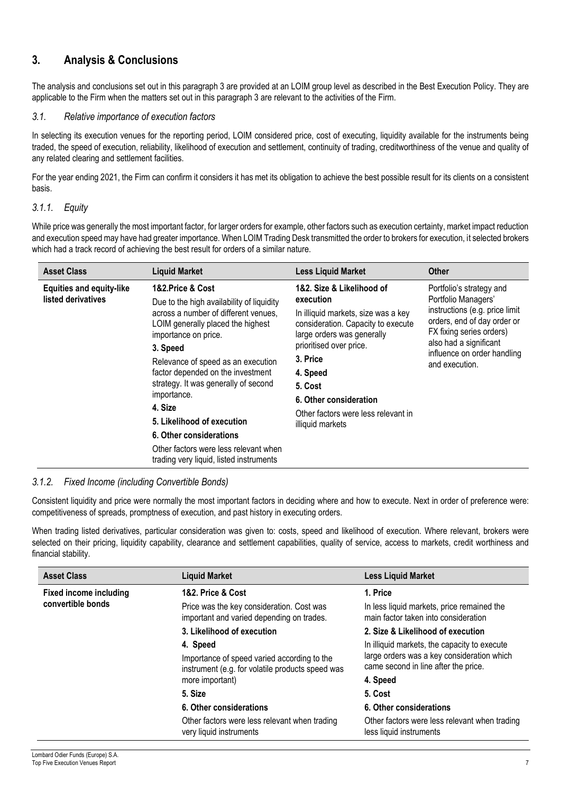# **3. Analysis & Conclusions**

The analysis and conclusions set out in this paragraph 3 are provided at an LOIM group level as described in the Best Execution Policy. They are applicable to the Firm when the matters set out in this paragraph 3 are relevant to the activities of the Firm.

#### *3.1. Relative importance of execution factors*

In selecting its execution venues for the reporting period, LOIM considered price, cost of executing, liquidity available for the instruments being traded, the speed of execution, reliability, likelihood of execution and settlement, continuity of trading, creditworthiness of the venue and quality of any related clearing and settlement facilities.

For the year ending 2021, the Firm can confirm it considers it has met its obligation to achieve the best possible result for its clients on a consistent basis.

## *3.1.1. Equity*

While price was generally the most important factor, for larger orders for example, other factors such as execution certainty, market impact reduction and execution speed may have had greater importance. When LOIM Trading Desk transmitted the order to brokers for execution, it selected brokers which had a track record of achieving the best result for orders of a similar nature.

| <b>Asset Class</b>                                    | <b>Liquid Market</b>                                                                                                                                                                                                                                                                                                                                                                                                                                                     | <b>Less Liquid Market</b>                                                                                                                                                                                                                                                                            | <b>Other</b>                                                                                                                                                                                                            |
|-------------------------------------------------------|--------------------------------------------------------------------------------------------------------------------------------------------------------------------------------------------------------------------------------------------------------------------------------------------------------------------------------------------------------------------------------------------------------------------------------------------------------------------------|------------------------------------------------------------------------------------------------------------------------------------------------------------------------------------------------------------------------------------------------------------------------------------------------------|-------------------------------------------------------------------------------------------------------------------------------------------------------------------------------------------------------------------------|
| <b>Equities and equity-like</b><br>listed derivatives | 1&2.Price & Cost<br>Due to the high availability of liquidity<br>across a number of different venues,<br>LOIM generally placed the highest<br>importance on price.<br>3. Speed<br>Relevance of speed as an execution<br>factor depended on the investment<br>strategy. It was generally of second<br>importance.<br>4. Size<br>5. Likelihood of execution<br>6. Other considerations<br>Other factors were less relevant when<br>trading very liquid, listed instruments | 1&2. Size & Likelihood of<br>execution<br>In illiquid markets, size was a key<br>consideration. Capacity to execute<br>large orders was generally<br>prioritised over price.<br>3. Price<br>4. Speed<br>5. Cost<br>6. Other consideration<br>Other factors were less relevant in<br>illiquid markets | Portfolio's strategy and<br>Portfolio Managers'<br>instructions (e.g. price limit<br>orders, end of day order or<br>FX fixing series orders)<br>also had a significant<br>influence on order handling<br>and execution. |

## *3.1.2. Fixed Income (including Convertible Bonds)*

Consistent liquidity and price were normally the most important factors in deciding where and how to execute. Next in order of preference were: competitiveness of spreads, promptness of execution, and past history in executing orders.

When trading listed derivatives, particular consideration was given to: costs, speed and likelihood of execution. Where relevant, brokers were selected on their pricing, liquidity capability, clearance and settlement capabilities, quality of service, access to markets, credit worthiness and financial stability.

| <b>Asset Class</b>                                                      | <b>Liquid Market</b>                                                                            | <b>Less Liquid Market</b>                                                          |
|-------------------------------------------------------------------------|-------------------------------------------------------------------------------------------------|------------------------------------------------------------------------------------|
| <b>Fixed income including</b><br>1&2. Price & Cost<br>convertible bonds |                                                                                                 | 1. Price                                                                           |
|                                                                         | Price was the key consideration. Cost was<br>important and varied depending on trades.          | In less liquid markets, price remained the<br>main factor taken into consideration |
|                                                                         | 3. Likelihood of execution                                                                      | 2. Size & Likelihood of execution                                                  |
|                                                                         | 4. Speed                                                                                        | In illiquid markets, the capacity to execute                                       |
|                                                                         | Importance of speed varied according to the<br>instrument (e.g. for volatile products speed was | large orders was a key consideration which<br>came second in line after the price. |
|                                                                         | more important)                                                                                 | 4. Speed                                                                           |
|                                                                         | 5. Size                                                                                         | 5. Cost                                                                            |
|                                                                         | 6. Other considerations                                                                         | 6. Other considerations                                                            |
|                                                                         | Other factors were less relevant when trading<br>very liquid instruments                        | Other factors were less relevant when trading<br>less liquid instruments           |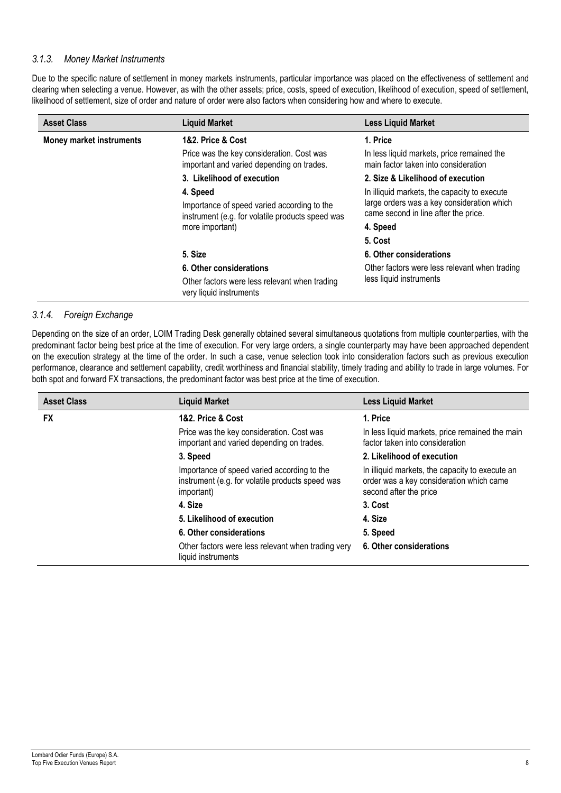#### *3.1.3. Money Market Instruments*

Due to the specific nature of settlement in money markets instruments, particular importance was placed on the effectiveness of settlement and clearing when selecting a venue. However, as with the other assets; price, costs, speed of execution, likelihood of execution, speed of settlement, likelihood of settlement, size of order and nature of order were also factors when considering how and where to execute.

| <b>Asset Class</b>              | <b>Liquid Market</b>                                                                                        | <b>Less Liquid Market</b>                                                                                                          |
|---------------------------------|-------------------------------------------------------------------------------------------------------------|------------------------------------------------------------------------------------------------------------------------------------|
| <b>Money market instruments</b> | 1&2. Price & Cost                                                                                           | 1. Price                                                                                                                           |
|                                 | Price was the key consideration. Cost was<br>important and varied depending on trades.                      | In less liquid markets, price remained the<br>main factor taken into consideration                                                 |
|                                 | 3. Likelihood of execution                                                                                  | 2. Size & Likelihood of execution                                                                                                  |
|                                 | 4. Speed<br>Importance of speed varied according to the<br>instrument (e.g. for volatile products speed was | In illiquid markets, the capacity to execute<br>large orders was a key consideration which<br>came second in line after the price. |
|                                 | more important)                                                                                             | 4. Speed                                                                                                                           |
|                                 |                                                                                                             | 5. Cost                                                                                                                            |
|                                 | 5. Size                                                                                                     | 6. Other considerations                                                                                                            |
|                                 | 6. Other considerations                                                                                     | Other factors were less relevant when trading                                                                                      |
|                                 | Other factors were less relevant when trading<br>very liquid instruments                                    | less liquid instruments                                                                                                            |

## *3.1.4. Foreign Exchange*

Depending on the size of an order, LOIM Trading Desk generally obtained several simultaneous quotations from multiple counterparties, with the predominant factor being best price at the time of execution. For very large orders, a single counterparty may have been approached dependent on the execution strategy at the time of the order. In such a case, venue selection took into consideration factors such as previous execution performance, clearance and settlement capability, credit worthiness and financial stability, timely trading and ability to trade in large volumes. For both spot and forward FX transactions, the predominant factor was best price at the time of execution.

| <b>Asset Class</b> | <b>Liquid Market</b>                                                                                          | <b>Less Liquid Market</b>                                                                                             |
|--------------------|---------------------------------------------------------------------------------------------------------------|-----------------------------------------------------------------------------------------------------------------------|
| <b>FX</b>          | 1&2. Price & Cost                                                                                             | 1. Price                                                                                                              |
|                    | Price was the key consideration. Cost was<br>important and varied depending on trades.                        | In less liquid markets, price remained the main<br>factor taken into consideration                                    |
|                    | 3. Speed                                                                                                      | 2. Likelihood of execution                                                                                            |
|                    | Importance of speed varied according to the<br>instrument (e.g. for volatile products speed was<br>important) | In illiquid markets, the capacity to execute an<br>order was a key consideration which came<br>second after the price |
|                    | 4. Size                                                                                                       | 3. Cost                                                                                                               |
|                    | 5. Likelihood of execution                                                                                    | 4. Size                                                                                                               |
|                    | 6. Other considerations                                                                                       | 5. Speed                                                                                                              |
|                    | Other factors were less relevant when trading very<br>liquid instruments                                      | 6. Other considerations                                                                                               |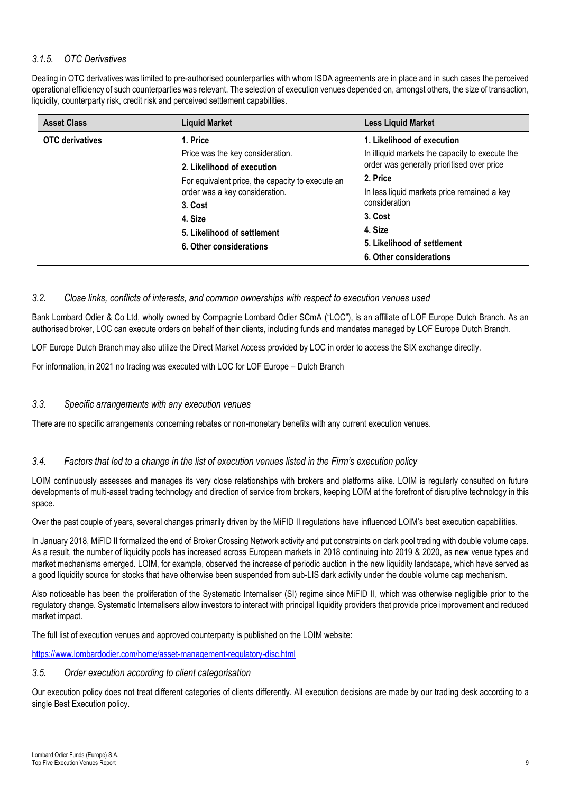## *3.1.5. OTC Derivatives*

Dealing in OTC derivatives was limited to pre-authorised counterparties with whom ISDA agreements are in place and in such cases the perceived operational efficiency of such counterparties was relevant. The selection of execution venues depended on, amongst others, the size of transaction, liquidity, counterparty risk, credit risk and perceived settlement capabilities.

| <b>Asset Class</b>     | <b>Liquid Market</b>                             | <b>Less Liquid Market</b>                       |
|------------------------|--------------------------------------------------|-------------------------------------------------|
| <b>OTC</b> derivatives | 1. Price                                         | 1. Likelihood of execution                      |
|                        | Price was the key consideration.                 | In illiquid markets the capacity to execute the |
|                        | 2. Likelihood of execution                       | order was generally prioritised over price      |
|                        | For equivalent price, the capacity to execute an | 2. Price                                        |
|                        | order was a key consideration.                   | In less liquid markets price remained a key     |
|                        | 3. Cost                                          | consideration                                   |
|                        | 4. Size                                          | 3. Cost                                         |
|                        | 5. Likelihood of settlement                      | 4. Size                                         |
|                        | 6. Other considerations                          | 5. Likelihood of settlement                     |
|                        |                                                  | 6. Other considerations                         |

#### *3.2. Close links, conflicts of interests, and common ownerships with respect to execution venues used*

Bank Lombard Odier & Co Ltd, wholly owned by Compagnie Lombard Odier SCmA ("LOC"), is an affiliate of LOF Europe Dutch Branch. As an authorised broker, LOC can execute orders on behalf of their clients, including funds and mandates managed by LOF Europe Dutch Branch.

LOF Europe Dutch Branch may also utilize the Direct Market Access provided by LOC in order to access the SIX exchange directly.

For information, in 2021 no trading was executed with LOC for LOF Europe – Dutch Branch

#### *3.3. Specific arrangements with any execution venues*

There are no specific arrangements concerning rebates or non-monetary benefits with any current execution venues.

## *3.4. Factors that led to a change in the list of execution venues listed in the Firm's execution policy*

LOIM continuously assesses and manages its very close relationships with brokers and platforms alike. LOIM is regularly consulted on future developments of multi-asset trading technology and direction of service from brokers, keeping LOIM at the forefront of disruptive technology in this space.

Over the past couple of years, several changes primarily driven by the MiFID II regulations have influenced LOIM's best execution capabilities.

In January 2018, MiFID II formalized the end of Broker Crossing Network activity and put constraints on dark pool trading with double volume caps. As a result, the number of liquidity pools has increased across European markets in 2018 continuing into 2019 & 2020, as new venue types and market mechanisms emerged. LOIM, for example, observed the increase of periodic auction in the new liquidity landscape, which have served as a good liquidity source for stocks that have otherwise been suspended from sub-LIS dark activity under the double volume cap mechanism.

Also noticeable has been the proliferation of the Systematic Internaliser (SI) regime since MiFID II, which was otherwise negligible prior to the regulatory change. Systematic Internalisers allow investors to interact with principal liquidity providers that provide price improvement and reduced market impact.

The full list of execution venues and approved counterparty is published on the LOIM website:

<https://www.lombardodier.com/home/asset-management-regulatory-disc.html>

#### *3.5. Order execution according to client categorisation*

Our execution policy does not treat different categories of clients differently. All execution decisions are made by our trading desk according to a single Best Execution policy.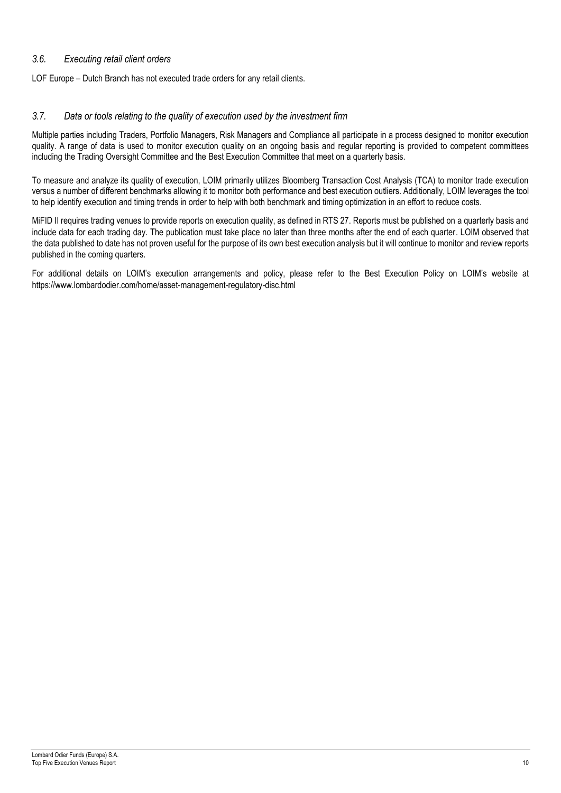## *3.6. Executing retail client orders*

LOF Europe – Dutch Branch has not executed trade orders for any retail clients.

#### *3.7. Data or tools relating to the quality of execution used by the investment firm*

Multiple parties including Traders, Portfolio Managers, Risk Managers and Compliance all participate in a process designed to monitor execution quality. A range of data is used to monitor execution quality on an ongoing basis and regular reporting is provided to competent committees including the Trading Oversight Committee and the Best Execution Committee that meet on a quarterly basis.

To measure and analyze its quality of execution, LOIM primarily utilizes Bloomberg Transaction Cost Analysis (TCA) to monitor trade execution versus a number of different benchmarks allowing it to monitor both performance and best execution outliers. Additionally, LOIM leverages the tool to help identify execution and timing trends in order to help with both benchmark and timing optimization in an effort to reduce costs.

MiFID II requires trading venues to provide reports on execution quality, as defined in RTS 27. Reports must be published on a quarterly basis and include data for each trading day. The publication must take place no later than three months after the end of each quarter. LOIM observed that the data published to date has not proven useful for the purpose of its own best execution analysis but it will continue to monitor and review reports published in the coming quarters.

For additional details on LOIM's execution arrangements and policy, please refer to the Best Execution Policy on LOIM's website at <https://www.lombardodier.com/home/asset-management-regulatory-disc.html>